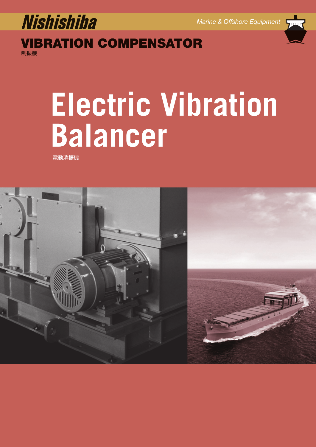

**VIBRATION COMPENSATOR** 制振機

# **Electric Vibration Balancer**

電動消振機

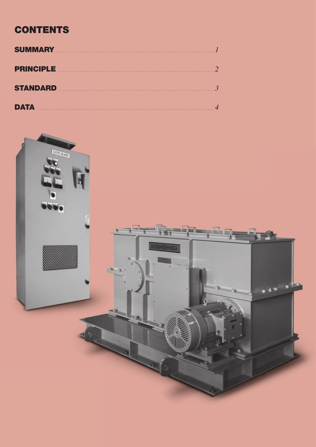# **CONTENTS**

| <b>PRINCIPLE</b> 22 |  |
|---------------------|--|
| STANDARD 3          |  |
|                     |  |

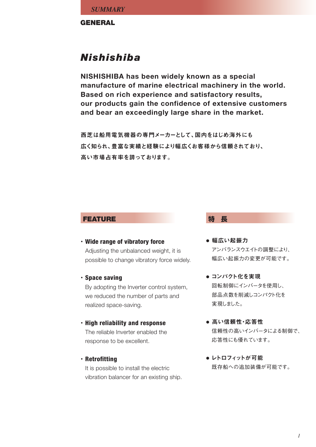**GENERAL**

# *Nishishiba*

**NISHISHIBA has been widely known as a special manufacture of marine electrical machinery in the world. Based on rich experience and satisfactory results, our products gain the confidence of extensive customers and bear an exceedingly large share in the market.**

西芝は船用電気機器の専門メーカーとして、国内をはじめ海外にも 広く知られ、豊富な実績と経験により幅広くお客様から信頼されており、 高い市場占有率を誇っております。

# **FEATURE**<br> **特 長**

- **Wide range of vibratory force •** Adjusting the unbalanced weight, it is possible to change vibratory force widely.
- **Space saving •**

By adopting the Inverter control system, we reduced the number of parts and realized space-saving.

- **High reliability and response •** The reliable Inverter enabled the response to be excellent.
- **Retrofitting •**

It is possible to install the electric vibration balancer for an existing ship.

- 幅広い起振力 アンバランスウエイトの調整により、 幅広い起振力の変更が可能です。
- コンパクト化を実現 回転制御にインバータを使用し、 部品点数を削減しコンパクト化を 実現しました。
- 高い信頼性・応答性 信頼性の高いインバータによる制御で、 応答性にも優れています。
- レトロフィットが可能 既存船への追加装備が可能です。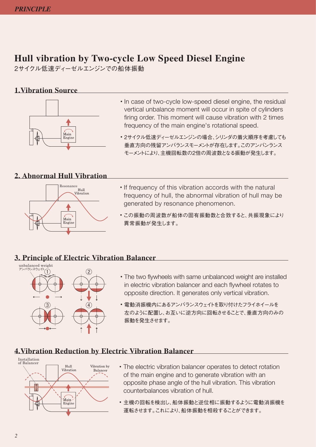# **Hull vibration by Two-cycle Low Speed Diesel Engine**

2サイクル低速ディーゼルエンジンでの船体振動

# **1.Vibration Source**



- In case of two-cycle low-speed diesel engine, the residual vertical unbalance moment will occur in spite of cylinders firing order. This moment will cause vibration with 2 times frequency of the main engine's rotational speed.
- 2サイクル低速ディーゼルエンジンの場合、シリンダの着火順序を考慮しても **•** 垂直方向の残留アンバランスモーメントが存在します。このアンバンランス モーメントにより、主機回転数の2倍の周波数となる振動が発生します。

# **2. Abnormal Hull Vibration**



- If frequency of this vibration accords with the natural frequency of hull, the abnormal vibration of hull may be generated by resonance phenomenon.
- この振動の周波数が船体の固有振動数と合致すると、共振現象により **•** 異常振動が発生します。

# **3. Principle of Electric Vibration Balancer**



- The two flywheels with same unbalanced weight are installed **•** in electric vibration balancer and each flywheel rotates to opposite direction. It generates only vertical vibration.
- 電動消振機内にあるアンバランスウェイトを取り付けたフライホイールを **•** 左のように配置し、お互いに逆方向に回転させることで、垂直方向のみの 振動を発生させます。

# **4.Vibration Reduction by Electric Vibration Balancer**



- The electric vibration balancer operates to detect rotation **•** of the main engine and to generate vibration with an opposite phase angle of the hull vibration. This vibration counterbalances vibration of hull.
- 主機の回転を検出し、船体振動と逆位相に振動するように電動消振機を **•** 運転させます。これにより、船体振動を相殺することができます。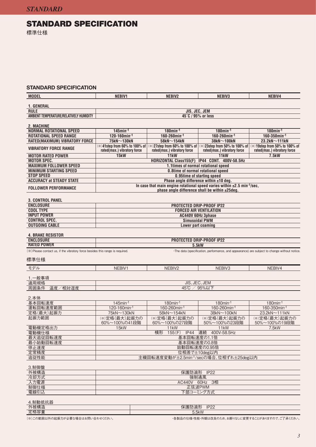# **STANDARD SPECIFICATION**

標準仕様

### **STANDARD SPECIFICATION**

| <b>MODEL</b>                                                                  | NEBIV1                                                                               | NEBIV2                                                                                                                                      | NEBIV3                                                                                     | NEBIV4                                                                                       |  |  |
|-------------------------------------------------------------------------------|--------------------------------------------------------------------------------------|---------------------------------------------------------------------------------------------------------------------------------------------|--------------------------------------------------------------------------------------------|----------------------------------------------------------------------------------------------|--|--|
| 1. GENERAL                                                                    |                                                                                      |                                                                                                                                             |                                                                                            |                                                                                              |  |  |
| <b>RULE</b>                                                                   |                                                                                      | JIS, JEC, JEM                                                                                                                               |                                                                                            |                                                                                              |  |  |
| AMBIENT TEMPERATURE/RELATIVELY HUMIDITY                                       |                                                                                      | 45°C / 95% or less                                                                                                                          |                                                                                            |                                                                                              |  |  |
|                                                                               |                                                                                      |                                                                                                                                             |                                                                                            |                                                                                              |  |  |
| 2. MACHINE<br><b>NORMAL ROTATIONAL SPEED</b>                                  | $145$ min <sup>-1</sup>                                                              | $180$ min <sup>-1</sup>                                                                                                                     | $180$ min <sup>-1</sup>                                                                    | $180$ min <sup>-1</sup>                                                                      |  |  |
| <b>ROTATIONAL SPEED RANGE</b>                                                 | $120 - 160$ min <sup>-1</sup>                                                        | $160 - 260$ min <sup>-1</sup>                                                                                                               | $160 - 260$ min <sup>-1</sup>                                                              | $160 - 350$ min <sup>-1</sup>                                                                |  |  |
| RATED(MAXIMUM) VIBRATORY FORCE                                                | $75kN \sim 130kN$                                                                    | 58kN $\sim$ 154kN                                                                                                                           | $38kN \sim 100kN$                                                                          | 23.2kN~111kN                                                                                 |  |  |
| <b>VIBRATORY FORCE RANGE</b>                                                  | (*)41step from 60% to 100% of<br>rated(max.) vibratory force                         | rated(max.) vibratory force                                                                                                                 | (*)27step from 60% to 100% of (*)23step from 50% to 100% of<br>rated(max.) vibratory force | (*)19step from 50% to 100% of<br>rated(max.) vibratory force                                 |  |  |
| <b>MOTOR RATED POWER</b>                                                      | 15kW                                                                                 | 11kW                                                                                                                                        | 11kW                                                                                       | <b>7.5kW</b>                                                                                 |  |  |
| <b>MOTOR SPEC.</b><br><b>MAXIMUM FOLLOWER SPEED</b>                           | HORIZONTAL Class155(F) IP44 CONT. 400V-58.5Hz<br>1.1times of normal rotational speed |                                                                                                                                             |                                                                                            |                                                                                              |  |  |
| <b>MINIMUM STARTING SPEED</b>                                                 |                                                                                      | 0.8time of normal rotational speed                                                                                                          |                                                                                            |                                                                                              |  |  |
| <b>STOP SPEED</b>                                                             |                                                                                      | 0.95time of starting speed                                                                                                                  |                                                                                            |                                                                                              |  |  |
| <b>ACCURACY at STEADY STATE</b>                                               |                                                                                      | Phase angle difference within ±10 deg.                                                                                                      |                                                                                            |                                                                                              |  |  |
| <b>FOLLOWER PERFORMANCE</b>                                                   |                                                                                      | In case that main engine rotational speed varies within $\pm 2.5$ min <sup>-1</sup> /sec,<br>phase angle difference shall be within ±25deg. |                                                                                            |                                                                                              |  |  |
| <b>3. CONTROL PANEL</b>                                                       |                                                                                      |                                                                                                                                             |                                                                                            |                                                                                              |  |  |
| <b>ENCLOSURE</b>                                                              |                                                                                      |                                                                                                                                             | <b>PROTECTED DRIP-PROOF IP22</b>                                                           |                                                                                              |  |  |
| <b>COOL TYPE</b><br><b>INPUT POWER</b>                                        |                                                                                      | <b>FORCED AIR VENTILATION</b>                                                                                                               |                                                                                            |                                                                                              |  |  |
| <b>CONTROL SPEC.</b>                                                          |                                                                                      | AC440V 60Hz 3phase<br><b>Simusoidal PWM</b>                                                                                                 |                                                                                            |                                                                                              |  |  |
| <b>OUTGOING CABLE</b>                                                         |                                                                                      | Lower part coaming                                                                                                                          |                                                                                            |                                                                                              |  |  |
|                                                                               |                                                                                      |                                                                                                                                             |                                                                                            |                                                                                              |  |  |
| <b>4. BRAKE RESISTOR</b><br><b>ENCLOSURE</b>                                  |                                                                                      | PROTECTED DRIP-PROOF IP22                                                                                                                   |                                                                                            |                                                                                              |  |  |
| <b>RATED POWER</b>                                                            |                                                                                      | 5.5kW                                                                                                                                       |                                                                                            |                                                                                              |  |  |
| (※) Please contact us, if the vibratory force besides this range is required. |                                                                                      |                                                                                                                                             |                                                                                            | ·The data (specification, performance, and appearance) are subject to change without notice. |  |  |
| 標準仕様                                                                          |                                                                                      |                                                                                                                                             |                                                                                            |                                                                                              |  |  |
|                                                                               |                                                                                      |                                                                                                                                             |                                                                                            |                                                                                              |  |  |
| モデル                                                                           | NEBIV1                                                                               | NEBIV2                                                                                                                                      | NEBIV3                                                                                     | NEBIV4                                                                                       |  |  |
| 1.一般事項                                                                        |                                                                                      |                                                                                                                                             |                                                                                            |                                                                                              |  |  |
| 適用規格                                                                          |                                                                                      | <b>JIS, JEC, JEM</b>                                                                                                                        |                                                                                            |                                                                                              |  |  |
| 温度/相対湿度<br>周囲条件                                                               |                                                                                      | 45 $\degree$ C /                                                                                                                            | 95%以下                                                                                      |                                                                                              |  |  |
| 2.本体                                                                          |                                                                                      |                                                                                                                                             |                                                                                            |                                                                                              |  |  |
| 基本回転速度                                                                        | $145$ min-1                                                                          | $180$ min <sup>-1</sup>                                                                                                                     | $180$ min <sup>-1</sup>                                                                    | $180$ min-1                                                                                  |  |  |
| 運転回転速度範囲                                                                      | 120-160min-1                                                                         | 160-260min-1                                                                                                                                | 160-260min-1                                                                               | 160-350min-1                                                                                 |  |  |
| 定格(最大)起振力                                                                     | 75kN~130kN                                                                           | $58kN \sim 154kN$                                                                                                                           | 38kN~100kN                                                                                 | 23.2kN~111kN                                                                                 |  |  |
| 起振力範囲                                                                         | (※)定格(最大)起振力の<br>60%~100%の41段階                                                       | (※)定格(最大)起振力の<br>60%~100%の27段階                                                                                                              | (※)定格(最大)起振力の<br>50%~100%の23段階                                                             | (※)定格(最大)起振力の<br>50%~100%の19段階                                                               |  |  |
| 電動機定格出力<br>電動機仕様                                                              | 15kW                                                                                 | 11 <sub>k</sub> W<br>横形                                                                                                                     | 11kW<br>155(F) IP44 連続 400V-58.5Hz                                                         | 7.5kW                                                                                        |  |  |
| 最大追従回転速度                                                                      |                                                                                      | 基本回転速度の1.1倍                                                                                                                                 |                                                                                            |                                                                                              |  |  |
| 最小始動回転速度                                                                      |                                                                                      | 基本回転速度の0.8倍                                                                                                                                 |                                                                                            |                                                                                              |  |  |
| 停止速度                                                                          | 始動回転速度の0.95倍                                                                         |                                                                                                                                             |                                                                                            |                                                                                              |  |  |
| 定常精度                                                                          | 位相差で±10deg以内<br>主機回転速度変動が±2.5min <sup>-1</sup> /secの場合、位相ずれ±25deg以内                  |                                                                                                                                             |                                                                                            |                                                                                              |  |  |
| 追従性能                                                                          |                                                                                      |                                                                                                                                             |                                                                                            |                                                                                              |  |  |
| 3.制御盤                                                                         |                                                                                      |                                                                                                                                             |                                                                                            |                                                                                              |  |  |
| 外被構造                                                                          |                                                                                      | 保護防滴形 IP22                                                                                                                                  |                                                                                            |                                                                                              |  |  |
| 冷却方式                                                                          |                                                                                      |                                                                                                                                             | 強制通風                                                                                       |                                                                                              |  |  |
| 入力電源<br>制御仕様                                                                  |                                                                                      | AC440V 60Hz 3相<br>正弦波PWM                                                                                                                    |                                                                                            |                                                                                              |  |  |
| 電線引込                                                                          |                                                                                      |                                                                                                                                             | 下部コーミング方式                                                                                  |                                                                                              |  |  |
|                                                                               |                                                                                      |                                                                                                                                             |                                                                                            |                                                                                              |  |  |
| 4.制動抵抗器                                                                       |                                                                                      |                                                                                                                                             |                                                                                            |                                                                                              |  |  |
| 外被構造                                                                          |                                                                                      | 保護防滴形                                                                                                                                       | IP22                                                                                       |                                                                                              |  |  |

定格容量

(※)この範囲以外の起振力が必要な場合はお問い合わせください。 ・各製品の仕様・性能・外観は改良のため、お断りなしに変更することがありますので、ご了承ください。

5.5kW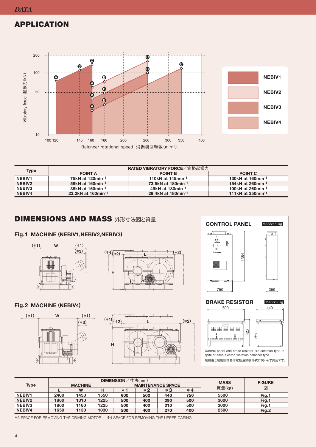# **APPLICATION**



| <b>Type</b>        | RATED VIBRATORY FORCE / 定格起振力 |                                |                               |  |  |  |  |
|--------------------|-------------------------------|--------------------------------|-------------------------------|--|--|--|--|
|                    | <b>POINT A</b>                | <b>POINT B</b>                 | <b>POINT C</b>                |  |  |  |  |
| <b>NEBIV1</b>      | 75kN at 120min-1              | 110kN at 145min <sup>-1</sup>  | 130kN at 160min <sup>-1</sup> |  |  |  |  |
| NEBIV <sub>2</sub> | 58kN at 160min <sup>-1</sup>  | 73.5kN at 180min-1             | 154kN at 260min-1             |  |  |  |  |
| <b>NEBIV3</b>      | 38kN at 160min <sup>-1</sup>  | 49kN at 180min <sup>-1</sup>   | 100kN at 260min <sup>-1</sup> |  |  |  |  |
| <b>NEBIV4</b>      | 23.2kN at 160min-1            | 29.4kN at 180min <sup>-1</sup> | 111kN at 350min-1             |  |  |  |  |

# **DIMENSIONS AND MASS 外形寸法図と質量**

## **MACHINE (NEBIV1,NEBIV2,NEBIV3) Fig.1**





# **BRAKE RESISTOR MACHINE (NEBIV4) Fig.2**







|               | <b>寸法(mm)</b><br><b>DIMENSION</b> |      |      |                          |      |     | <b>MASS</b> | <b>FIGURE</b> |       |
|---------------|-----------------------------------|------|------|--------------------------|------|-----|-------------|---------------|-------|
| <b>Type</b>   | <b>MACHINE</b>                    |      |      | <b>MAINTENANCE SPACE</b> |      |     |             |               |       |
|               |                                   | W    |      | $*$                      | $*2$ | *3  | $*4$        | 質量(kg)        | 図     |
| <b>NEBIV1</b> | 2400                              | 1450 | 1550 | 600                      | 500  | 440 | 750         | 5500          | Fig.1 |
| NEBIV2        | 1860                              | 1310 | 1225 | 500                      | 400  | 390 | 500         | 3600          | Fig.1 |
| <b>NEBIV3</b> | 1860                              | 1160 | 1225 | 500                      | 400  | 310 | 500         | 3000          | Fig.1 |
| NEBIV4        | 1650                              | 1130 | 1030 | 500                      | 400  | 270 | 400         | 2500          | Fig.2 |

\*3 SPACE FOR REMOVING THE DRIVING MOTOR \*4 SPACE FOR REMOVING THE UPPER CASING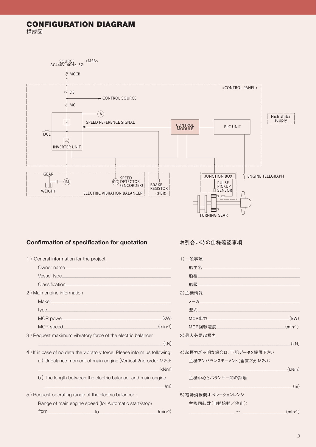# **CONFIGURATION DIAGRAM** 構成図



# **Confirmation of specification for quotation カントラン お引合い時の仕様確認事項**

| 1) General information for the project.                                   |         |
|---------------------------------------------------------------------------|---------|
|                                                                           |         |
|                                                                           |         |
|                                                                           |         |
| 2) Main engine information                                                |         |
|                                                                           |         |
|                                                                           |         |
|                                                                           | (kW)    |
|                                                                           | (min-1) |
| 3) Request maximum vibratory force of the electric balancer               |         |
|                                                                           | (kN)    |
| 4) If in case of no deta the vibratory force, Please inform us following. |         |
| a) Upholones mement of main engine (Vertical and erder May).              |         |

 a ) Unbalance moment of main engine (Vertical 2nd order-M2v): \_\_\_\_\_\_\_\_\_\_\_\_\_\_\_\_\_\_\_\_\_\_\_\_\_\_\_\_\_\_\_\_\_\_\_\_\_\_\_\_\_\_\_\_\_\_\_\_\_\_\_\_\_(kNm)

 $\hspace{2cm} = \frac{1}{2}$ 

b ) The length between the electric balancer and main engine

5 ) Request operating range of the electric balancer : Range of main engine speed (for Automatic start/stop) from\_\_\_\_\_\_\_\_\_\_\_\_\_\_\_\_\_\_\_\_\_to\_\_\_\_\_\_\_\_\_\_\_\_\_\_\_\_\_\_\_\_\_\_\_\_\_\_(min-1)

| 1) 一般事項                          |             |
|----------------------------------|-------------|
| 船主名___________________           |             |
|                                  |             |
|                                  |             |
| 2)主機情報                           |             |
| メーカー しんしゅうしょう しゅうしゅうしょう しんしゅうしょう |             |
|                                  |             |
| $MCR$ 出力 $(KW)$                  |             |
|                                  |             |
| 3)最大必要起振力                        |             |
|                                  | $_{-}$ (kN) |
| 4)起振力が不明な場合は、下記データを提供下さい         |             |
| 主機アンバランスモーメント(垂直2次 M2v):         |             |
| $\sim$ (kNm)                     |             |
| 主機中心とバランサー間の距離                   |             |
| (m)                              |             |
| 5)雷動消振機オペレーションレンジ                |             |
| 主機回転数(自動始動/停止):                  |             |
|                                  |             |
|                                  |             |